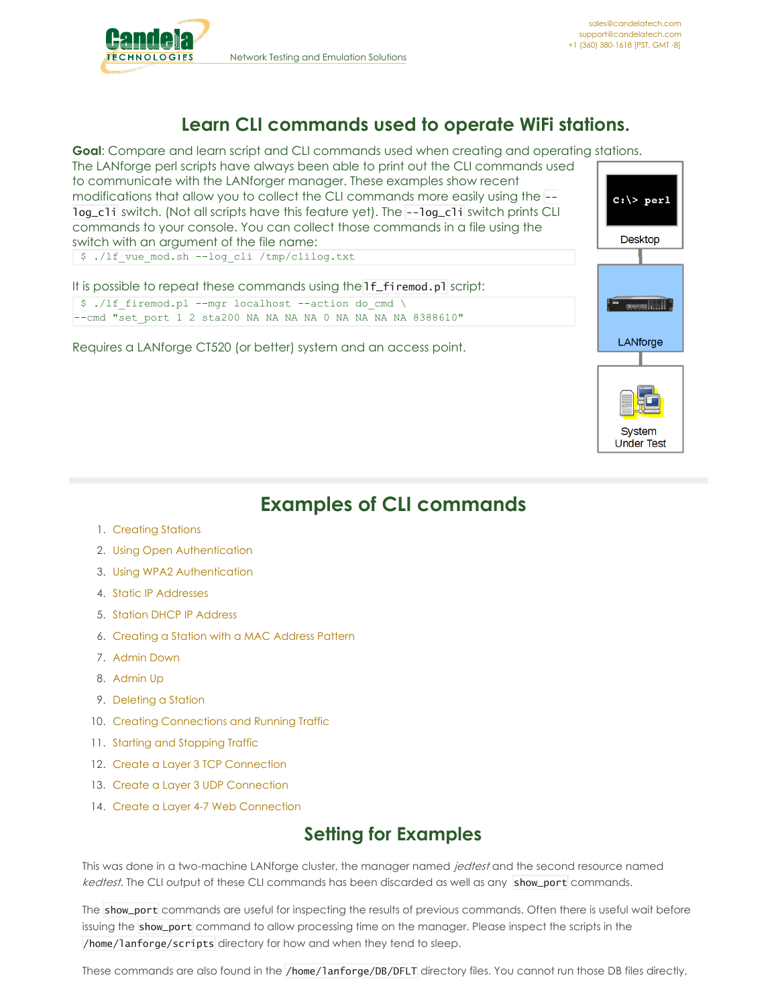<span id="page-0-0"></span>

 $c:\rangle$  perl

**Desktop** 

a assamblith

LANforge

System **Under Test** 

# **Learn CLI commands used to operate WiFi stations.**

**Goal**: Compare and learn script and CLI commands used when creating and operating stations.

The LANforge perl scripts have always been able to print out the CLI commands used to communicate with the LANforger manager. These examples show recent modifications that allow you to collect the CLI commands more easily using the - log\_cli switch. (Not all scripts have this feature yet). The --log\_cli switch prints CLI commands to your console. You can collect those commands in a file using the switch with an argument of the file name:

\$ ./lf\_vue\_mod.sh --log\_cli /tmp/clilog.txt

| It is possible to repeat these commands using the 1f fi remod.pl script:                                                         |  |
|----------------------------------------------------------------------------------------------------------------------------------|--|
| $\frac{1}{2}$ ./1f firemod.pl --mqr localhost --action do cmd \<br>--cmd "set port 1 2 sta200 NA NA NA NA 0 NA NA NA NA 8388610" |  |
| Requires a LANforge CT520 (or better) system and an access point.                                                                |  |

# **Examples of CLI commands**

- 1. [Creating](#page-0-0) Stations
- 2. Using Open [Authentication](#page-0-0)
- 3. Using WPA2 [Authentication](#page-0-0)
- 4. Static IP [Addresses](#page-0-0)
- 5. Station DHCP IP [Address](#page-0-0)
- 6. [Creating](#page-0-0) a Station with a MAC Address Pattern
- 7. [Admin](#page-0-0) Down
- 8. [Admin](#page-0-0) Up
- 9. [Deleting](#page-0-0) a Station
- 10. Creating [Connections](#page-0-0) and Running Traffic
- 11. Starting and [Stopping](#page-0-0) Traffic
- 12. Create a Layer 3 TCP [Connection](#page-0-0)
- 13. Create a Layer 3 UDP [Connection](#page-0-0)
- 14. Create a Layer 4-7 Web [Connection](#page-0-0)

# **Setting for Examples**

This was done in a two-machine LANforge cluster, the manager named jedtest and the second resource named kedtest. The CLI output of these CLI commands has been discarded as well as any show\_port commands.

The show\_port commands are useful for inspecting the results of previous commands. Often there is useful wait before issuing the show\_port command to allow processing time on the manager. Please inspect the scripts in the /home/lanforge/scripts directory for how and when they tend to sleep.

These commands are also found in the /home/lanforge/DB/DFLT directory files. You cannot run those DB files directly,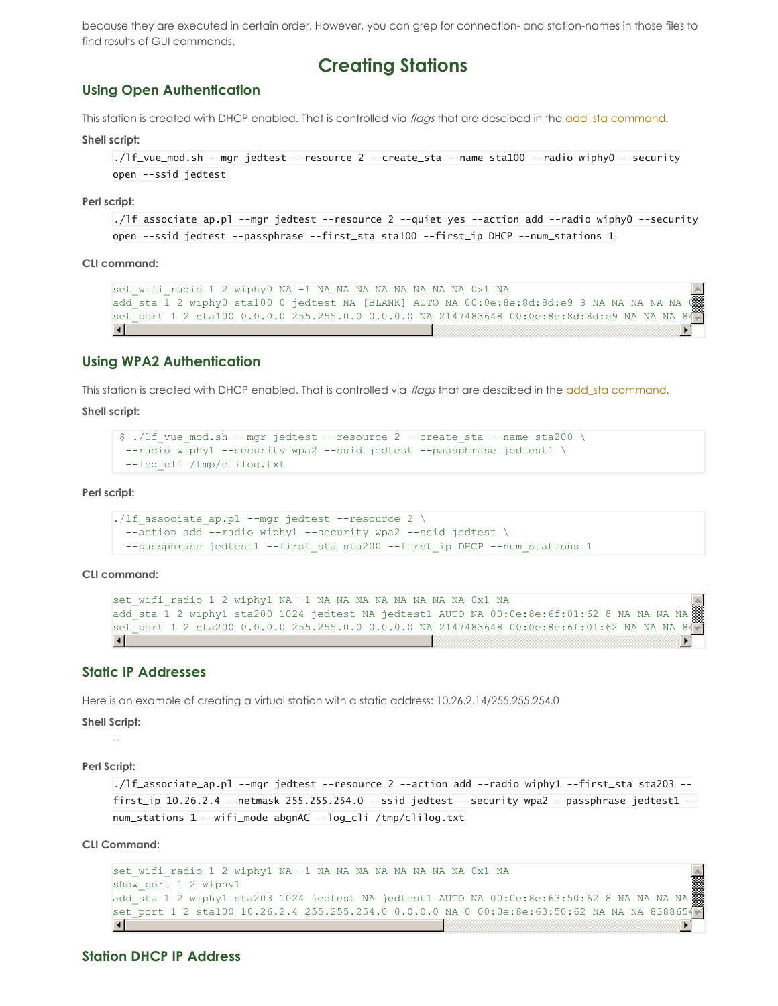because they are executed in certain order. However, you can grep for connection- and station-names in those files to find results of GUI commands.

# **Creating Stations**

## **Using Open Authentication**

This station is created with DHCP enabled. That is controlled via flags that are descibed in the add\_sta [command](http://candelatech.com/lfcli_ug.php#add_sta).

**Shell script:**

```
./lf_vue_mod.sh --mgr jedtest --resource 2 --create_sta --name sta100 --radio wiphy0 --security
open --ssid jedtest
```
**Perl script:**

```
./lf_associate_ap.pl --mgr jedtest --resource 2 --quiet yes --action add --radio wiphy0 --security
open --ssid jedtest --passphrase --first_sta sta100 --first_ip DHCP --num_stations 1
```
**CLI command:**

```
set wifi radio 1 2 wiphy0 NA -1 NA NA NA NA NA NA NA NA 0x1 NA
add sta 1 2 wiphy0 sta100 0 jedtest NA [BLANK] AUTO NA 00:0e:8e:8d:8d:e9 8 NA NA NA NA NA
set port 1 2 sta100 0.0.0.0 255.255.0.0 0.0.0.0 NA 2147483648 00:0e:8e:8d:8d:e9 NA NA NA 84
\vert \cdot \vert×.
```
### **Using WPA2 Authentication**

This station is created with DHCP enabled. That is controlled via flags that are descibed in the add sta [command](http://candelatech.com/lfcli_ug.php#add_sta).

**Shell script:**

```
$ ./lf vue mod.sh --mgr jedtest --resource 2 --create sta --name sta200 \
--radio wiphyl --security wpa2 --ssid jedtest --passphrase jedtest1 \
--log_cli /tmp/clilog.txt
```
**Perl script:**

```
./lf associate ap.pl --mgr jedtest --resource 2 \backslash--action add --radio wiphy1 --security wpa2 --ssid jedtest \
 --passphrase jedtest1 --first sta sta200 --first ip DHCP --num stations 1
```
**CLI command:**

```
set wifi radio 1 2 wiphy1 NA -1 NA NA NA NA NA NA NA NA 0x1 NA
add_sta 1 2 wiphy1 sta200 1024 jedtest NA jedtest1 AUTO NA 00:0e:8e:6f:01:62 8 NA NA NA NA
set port 1 2 sta200 0.0.0.0 255.255.0.0 0.0.0.0 NA 2147483648 00:0e:8e:6f:01:62 NA NA NA 84
\lceil
```
# **Static IP Addresses**

Here is an example of creating a virtual station with a static address: 10.26.2.14/255.255.254.0

**Shell Script:**

--

**Perl Script:**

```
./lf_associate_ap.pl --mgr jedtest --resource 2 --action add --radio wiphy1 --first_sta sta203 --
first_ip 10.26.2.4 --netmask 255.255.254.0 --ssid jedtest --security wpa2 --passphrase jedtest1 --
num_stations 1 --wifi_mode abgnAC --log_cli /tmp/clilog.txt
```
**CLI Command:**

```
set wifi radio 1 2 wiphyl NA -1 NA NA NA NA NA NA NA NA 0x1 NA
show port 1 2 wiphyl
add_sta 1 2 wiphy1 sta203 1024 jedtest NA jedtest1 AUTO NA 00:0e:8e:63:50:62 8 NA NA NA NA
set port 1 2 sta100 10.26.2.4 255.255.254.0 0.0.0.0 NA 0 00:0e:8e:63:50:62 NA NA NA 8388654
\vert \cdot \vert
```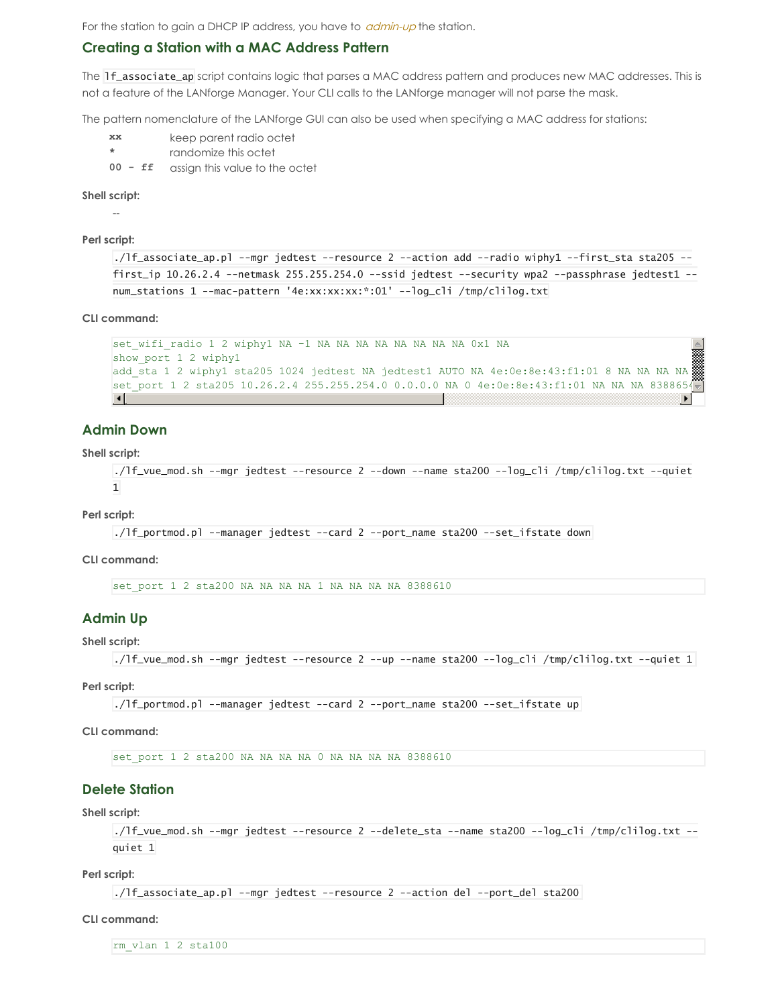For the station to gain a DHCP IP address, you have to *[admin-up](#page-0-0)* the station.

# **Creating a Station with a MAC Address Pattern**

The 1f\_associate\_ap script contains logic that parses a MAC address pattern and produces new MAC addresses. This is not a feature of the LANforge Manager. Your CLI calls to the LANforge manager will not parse the mask.

The pattern nomenclature of the LANforge GUI can also be used when specifying a MAC address for stations:

- **xx** keep parent radio octet
- **\*** randomize this octet
- **00 - ff** assign this value to the octet

### **Shell script:**

--

#### **Perl script:**

```
./lf_associate_ap.pl --mgr jedtest --resource 2 --action add --radio wiphy1 --first_sta sta205 --
first_ip 10.26.2.4 --netmask 255.255.254.0 --ssid jedtest --security wpa2 --passphrase jedtest1 --
num_stations 1 --mac-pattern '4e:xx:xx:xx:*:01' --log_cli /tmp/clilog.txt
```
### **CLI command:**

```
set wifi radio 1 2 wiphy1 NA -1 NA NA NA NA NA NA NA NA 0x1 NA
show_port 1 2 wiphy1
add sta 1 2 wiphy1 sta205 1024 jedtest NA jedtest1 AUTO NA 4e:0e:8e:43:f1:01 8 NA NA NA NA
set port 1 2 sta205 10.26.2.4 255.255.254.0 0.0.0.0 NA 0 4e:0e:8e:43:f1:01 NA NA NA 8388654
\vert \vert \vert\blacktriangleright
```
## **Admin Down**

### **Shell script:**

```
./lf_vue_mod.sh --mgr jedtest --resource 2 --down --name sta200 --log_cli /tmp/clilog.txt --quiet
1
```
**Perl script:**

```
./lf_portmod.pl --manager jedtest --card 2 --port_name sta200 --set_ifstate down
```
### **CLI command:**

set port 1 2 sta200 NA NA NA NA 1 NA NA NA NA 8388610

## **Admin Up**

## **Shell script:**

```
./lf_vue_mod.sh --mgr jedtest --resource 2 --up --name sta200 --log_cli /tmp/clilog.txt --quiet 1
```
**Perl script:**

```
./lf_portmod.pl --manager jedtest --card 2 --port_name sta200 --set_ifstate up
```
### **CLI command:**

set port 1 2 sta200 NA NA NA NA 0 NA NA NA NA 8388610

# **Delete Station**

## **Shell script:**

```
./lf_vue_mod.sh --mgr jedtest --resource 2 --delete_sta --name sta200 --log_cli /tmp/clilog.txt --
quiet 1
```
### **Perl script:**

./lf\_associate\_ap.pl --mgr jedtest --resource 2 --action del --port\_del sta200

#### **CLI command:**

rm\_vlan 1 2 sta100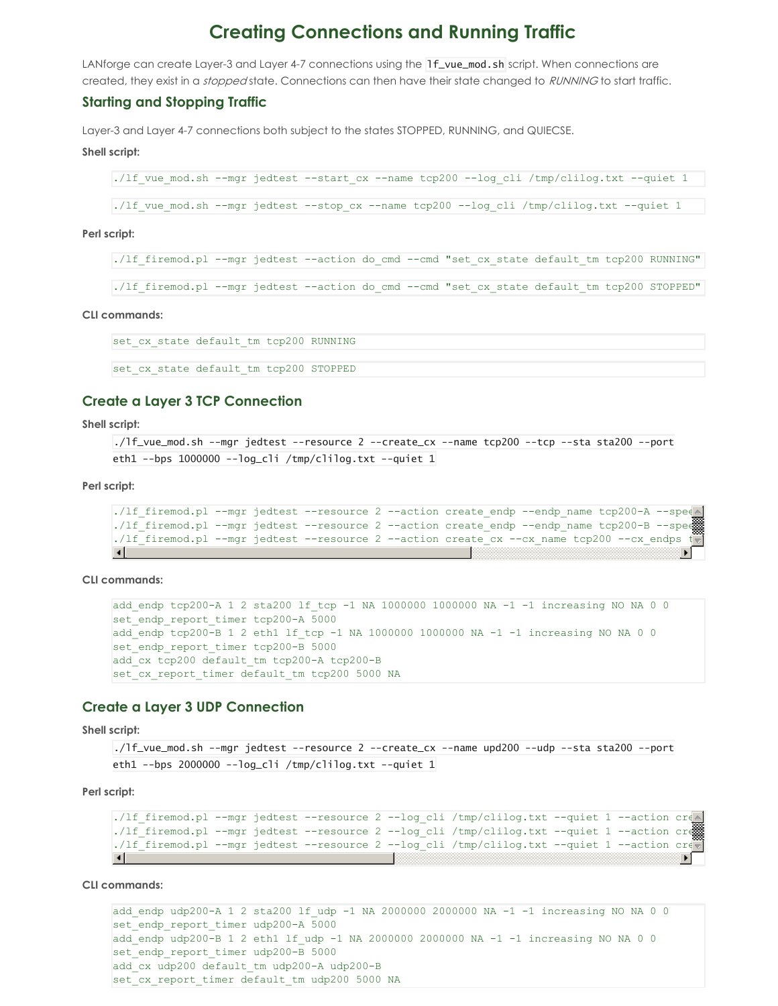# **Creating Connections and Running Traffic**

LANforge can create Layer-3 and Layer 4-7 connections using the 1f\_vue\_mod.sh script. When connections are created, they exist in a *stopped* state. Connections can then have their state changed to RUNNING to start traffic.

## **Starting and Stopping Traffic**

Layer-3 and Layer 4-7 connections both subject to the states STOPPED, RUNNING, and QUIECSE.

### **Shell script:**

```
./lf vue mod.sh --mgr jedtest --start cx --name tcp200 --log cli /tmp/clilog.txt --quiet 1
```
./lf vue mod.sh --mgr jedtest --stop cx --name tcp200 --log cli /tmp/clilog.txt --quiet 1

#### **Perl script:**

./lf firemod.pl --mgr jedtest --action do cmd --cmd "set cx state default tm tcp200 RUNNING"

./lf firemod.pl --mgr jedtest --action do cmd --cmd "set cx state default tm tcp200 STOPPED"

**CLI commands:**

set cx state default tm tcp200 RUNNING

set cx state default tm tcp200 STOPPED

## **Create a Layer 3 TCP Connection**

**Shell script:**

```
./lf_vue_mod.sh --mgr jedtest --resource 2 --create_cx --name tcp200 --tcp --sta sta200 --port
eth1 --bps 1000000 --log_cli /tmp/clilog.txt --quiet 1
```
**Perl script:**

```
./lf firemod.pl --mgr jedtest --resource 2 --action create endp --endp name tcp200-A --speed
./lf firemod.pl --mgr jedtest --resource 2 --action create endp --endp name tcp200-B --speed
./lf firemod.pl --mgr jedtest --resource 2 --action create cx --cx name tcp200 --cx endps
\blacksquare
```
**CLI commands:**

```
add endp tcp200-A 1 2 sta200 lf tcp -1 NA 1000000 1000000 NA -1 -1 increasing NO NA 0 0
set endp_report_timer_tcp200-A 5000
add endp tcp200-B 1 2 eth1 lf tcp -1 NA 1000000 1000000 NA -1 -1 increasing NO NA 0 0
set endp report timer tcp200-B 5000
add cx tcp200 default tm tcp200-A tcp200-B
set_cx_report_timer default tm tcp200 5000 NA
```
## **Create a Layer 3 UDP Connection**

**Shell script:**

./lf\_vue\_mod.sh --mgr jedtest --resource 2 --create\_cx --name upd200 --udp --sta sta200 --port eth1 --bps 2000000 --log\_cli /tmp/clilog.txt --quiet  $1$ 

**Perl script:**

```
./lf firemod.pl --mgr jedtest --resource 2 --log cli /tmp/clilog.txt --quiet 1 --action created
./lf firemod.pl --mgr jedtest --resource 2 --log cli /tmp/clilog.txt --quiet 1 --action cre
./lf firemod.pl --mgr jedtest --resource 2 --log_cli /tmp/clilog.txt --quiet 1 --action create
\lceilÞ.
```
**CLI commands:**

```
add endp udp200-A 1 2 sta200 lf udp -1 NA 2000000 2000000 NA -1 -1 increasing NO NA 0 0
set endp report timer udp200-A 5000
add endp udp200-B 1 2 eth1 lf udp -1 NA 2000000 2000000 NA -1 -1 increasing NO NA 0 0
set endp_report_timer_udp200-B 5000
add cx udp200 default tm udp200-A udp200-B
set cx report timer default tm udp200 5000 NA
```